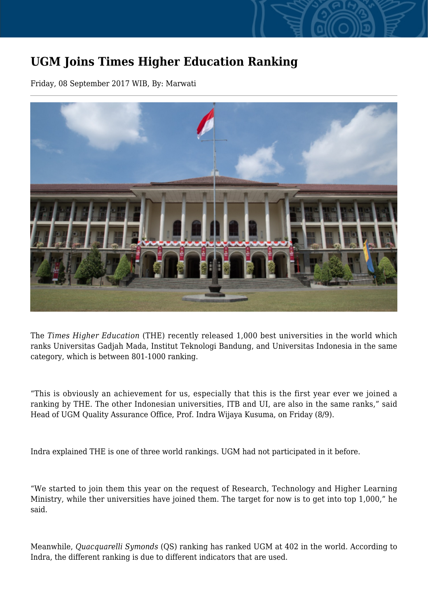## **UGM Joins Times Higher Education Ranking**

Friday, 08 September 2017 WIB, By: Marwati



The *Times Higher Education* (THE) recently released 1,000 best universities in the world which ranks Universitas Gadjah Mada, Institut Teknologi Bandung, and Universitas Indonesia in the same category, which is between 801-1000 ranking.

"This is obviously an achievement for us, especially that this is the first year ever we joined a ranking by THE. The other Indonesian universities, ITB and UI, are also in the same ranks," said Head of UGM Quality Assurance Office, Prof. Indra Wijaya Kusuma, on Friday (8/9).

Indra explained THE is one of three world rankings. UGM had not participated in it before.

"We started to join them this year on the request of Research, Technology and Higher Learning Ministry, while ther universities have joined them. The target for now is to get into top 1,000," he said.

Meanwhile, *Quacquarelli Symonds* (QS) ranking has ranked UGM at 402 in the world. According to Indra, the different ranking is due to different indicators that are used.